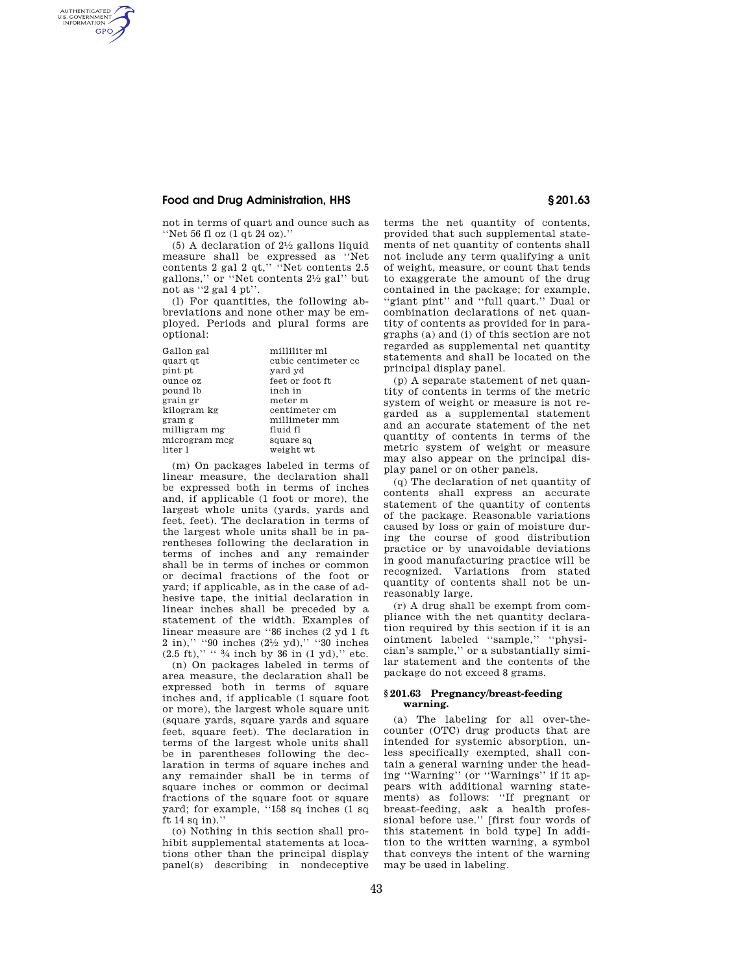## **Food and Drug Administration, HHS § 201.63**

AUTHENTICATED<br>U.S. GOVERNMENT<br>INFORMATION **GPO** 

> not in terms of quart and ounce such as ''Net 56 fl oz (1 qt 24 oz).''

> (5) A declaration of  $2\frac{1}{2}$  gallons liquid measure shall be expressed as ''Net contents 2 gal 2 qt,'' ''Net contents 2.5 gallons,'' or ''Net contents 21⁄2 gal'' but not as ''2 gal 4 pt''.

> (l) For quantities, the following abbreviations and none other may be employed. Periods and plural forms are optional:

| Gallon gal    | milliliter ml       |
|---------------|---------------------|
| quart qt      | cubic centimeter cc |
| pint pt       | yard yd             |
| ounce oz      | feet or foot ft     |
| pound lb      | inch in             |
| grain gr      | meter m             |
| kilogram kg   | centimeter cm       |
| gram g        | millimeter mm       |
| milligram mg  | fluid fl            |
| microgram mcg | square sq           |
| liter 1       | weight wt           |

(m) On packages labeled in terms of linear measure, the declaration shall be expressed both in terms of inches and, if applicable (1 foot or more), the largest whole units (yards, yards and feet, feet). The declaration in terms of the largest whole units shall be in parentheses following the declaration in terms of inches and any remainder shall be in terms of inches or common or decimal fractions of the foot or yard; if applicable, as in the case of adhesive tape, the initial declaration in linear inches shall be preceded by a statement of the width. Examples of linear measure are ''86 inches (2 yd 1 ft 2 in),'' ''90 inches (21⁄2 yd),'' ''30 inches  $(2.5 \text{ ft})$ ," "  $\frac{3}{4}$  inch by 36 in  $(1 \text{ yd})$ ," etc.

(n) On packages labeled in terms of area measure, the declaration shall be expressed both in terms of square inches and, if applicable (1 square foot or more), the largest whole square unit (square yards, square yards and square feet, square feet). The declaration in terms of the largest whole units shall be in parentheses following the declaration in terms of square inches and any remainder shall be in terms of square inches or common or decimal fractions of the square foot or square yard; for example, ''158 sq inches (1 sq ft  $14$  sq in)."

(o) Nothing in this section shall prohibit supplemental statements at locations other than the principal display panel(s) describing in nondeceptive terms the net quantity of contents, provided that such supplemental statements of net quantity of contents shall not include any term qualifying a unit of weight, measure, or count that tends to exaggerate the amount of the drug contained in the package; for example, ''giant pint'' and ''full quart.'' Dual or combination declarations of net quantity of contents as provided for in paragraphs (a) and (i) of this section are not regarded as supplemental net quantity statements and shall be located on the principal display panel.

(p) A separate statement of net quantity of contents in terms of the metric system of weight or measure is not regarded as a supplemental statement and an accurate statement of the net quantity of contents in terms of the metric system of weight or measure may also appear on the principal display panel or on other panels.

(q) The declaration of net quantity of contents shall express an accurate statement of the quantity of contents of the package. Reasonable variations caused by loss or gain of moisture during the course of good distribution practice or by unavoidable deviations in good manufacturing practice will be recognized. Variations from stated quantity of contents shall not be unreasonably large.

(r) A drug shall be exempt from compliance with the net quantity declaration required by this section if it is an ointment labeled ''sample,'' ''physician's sample,'' or a substantially similar statement and the contents of the package do not exceed 8 grams.

## **§ 201.63 Pregnancy/breast-feeding warning.**

(a) The labeling for all over-thecounter (OTC) drug products that are intended for systemic absorption, unless specifically exempted, shall contain a general warning under the heading ''Warning'' (or ''Warnings'' if it appears with additional warning statements) as follows: ''If pregnant or breast-feeding, ask a health professional before use.'' [first four words of this statement in bold type] In addition to the written warning, a symbol that conveys the intent of the warning may be used in labeling.